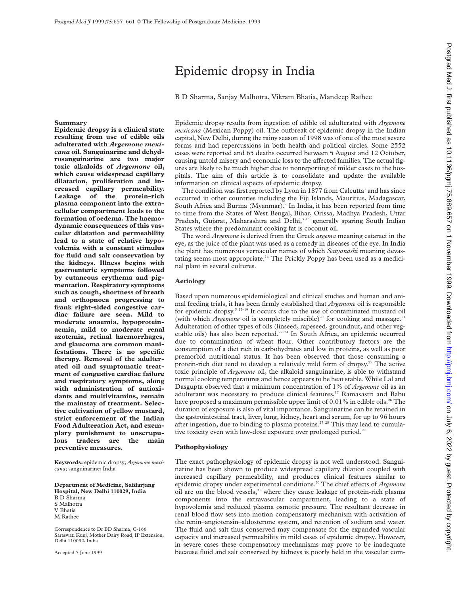# Epidemic dropsy in India

# B D Sharma, Sanjay Malhotra, Vikram Bhatia, Mandeep Rathee

#### **Summary**

**Epidemic dropsy is a clinical state resulting from use of edible oils adulterated with** *Argemone mexicana* **oil. Sanguinarine and dehyd-rosanguinarine are two major toxic alkaloids of** *Argemone* **oil, which cause widespread capillary dilatation, proliferation and increased capillary permeability. Leakage of the protein-rich plasma component into the extracellular compartment leads to the formation of oedema. The haemodynamic consequences of this vascular dilatation and permeability lead to a state of relative hypovolemia with a constant stimulus for fluid and salt conservation by the kidneys. Illness begins with gastroenteric symptoms followed by cutaneous erythema and pigmentation. Respiratory symptoms such as cough, shortness of breath and orthopnoea progressing to frank right-sided congestive cardiac failure are seen. Mild to moderate anaemia, hypoproteinaemia, mild to moderate renal azotemia, retinal haemorrhages, and glaucoma are common manifestations. There is no specific therapy. Removal of the adulterated oil and symptomatic treatment of congestive cardiac failure and respiratory symptoms, along with administration of antioxidants and multivitamins, remain the mainstay of treatment. Selective cultivation of yellow mustard, strict enforcement of the Indian Food Adulteration Act, and exemplary punishment to unscrupulous traders are the main preventive measures.**

**Keywords:** epidemic dropsy; *Argemone mexicana*; sanguinarine; India

**Department of Medicine, Safdarjang Hospital, New Delhi 110029, India** B D Sharma S Malhotra

- V Bhatia
- M Rathee

Correspondence to Dr BD Sharma, C-166 Saraswati Kunj, Mother Dairy Road, IP Extension, Delhi 110092, India

Accepted 7 June 1999

Epidemic dropsy results from ingestion of edible oil adulterated with *Argemone mexicana* (Mexican Poppy) oil. The outbreak of epidemic dropsy in the Indian capital, New Delhi, during the rainy season of 1998 was of one of the most severe forms and had repercussions in both health and political circles. Some 2552 cases were reported and 65 deaths occurred between 5 August and 12 October, causing untold misery and economic loss to the affected families. The actual figures are likely to be much higher due to nonreporting of milder cases to the hospitals. The aim of this article is to consolidate and update the available information on clinical aspects of epidemic dropsy.

The condition was first reported by Lyon in  $1877$  from Calcutta<sup>1</sup> and has since occurred in other countries including the Fiji Islands, Mauritius, Madagascar, South Africa and Burma (Myanmar).<sup>2</sup> In India, it has been reported from time to time from the States of West Bengal, Bihar, Orissa, Madhya Pradesh, Uttar Pradesh, Gujarat, Maharashtra and Delhi,<sup>3-13</sup> generally sparing South Indian States where the predominant cooking fat is coconut oil.

The word *Argemone* is derived from the Greek *argema* meaning cataract in the eye, as the juice of the plant was used as a remedy in diseases of the eye. In India the plant has numerous vernacular names of which *Satyanashi* meaning devastating seems most appropriate.<sup>14</sup> The Prickly Poppy has been used as a medicinal plant in several cultures.

### **Aetiology**

Based upon numerous epidemiological and clinical studies and human and animal feeding trials, it has been firmly established that *Argemone* oil is responsible for epidemic dropsy.<sup>5 15–19</sup> It occurs due to the use of contaminated mustard oil (with which *Argemone* oil is completely miscible)<sup>20</sup> for cooking and massage.<sup>21</sup> Adulteration of other types of oils (linseed, rapeseed, groundnut, and other vegetable oils) has also been reported.<sup>22-24</sup> In South Africa, an epidemic occurred due to contamination of wheat flour. Other contributory factors are the consumption of a diet rich in carbohydrates and low in proteins, as well as poor premorbid nutritional status. It has been observed that those consuming a protein-rich diet tend to develop a relatively mild form of dropsy.<sup>25</sup> The active toxic principle of *Argemone* oil, the alkaloid sanguinarine, is able to withstand normal cooking temperatures and hence appears to be heat stable. While Lal and Dasgupta observed that a minimum concentration of 1% of *Argemone* oil as an adulterant was necessary to produce clinical features,<sup>17</sup> Ramasastri and Babu have proposed a maximum permissible upper limit of  $0.01\%$  in edible oils.<sup>26</sup> The duration of exposure is also of vital importance. Sanguinarine can be retained in the gastrointestinal tract, liver, lung, kidney, heart and serum, for up to 96 hours after ingestion, due to binding to plasma proteins.<sup>27, 28</sup> This may lead to cumulative toxicity even with low-dose exposure over prolonged period.<sup>29</sup>

#### **Pathophysiology**

The exact pathophysiology of epidemic dropsy is not well understood. Sanguinarine has been shown to produce widespread capillary dilation coupled with increased capillary permeability, and produces clinical features similar to epidemic dropsy under experimental conditions.<sup>30</sup> The chief effects of *Argemone* oil are on the blood vessels,<sup>31</sup> where they cause leakage of protein-rich plasma components into the extravascular compartment, leading to a state of hypovolemia and reduced plasma osmotic pressure. The resultant decrease in renal blood flow sets into motion compensatory mechanism with activation of the renin–angiotensin–aldosterone system, and retention of sodium and water. The fluid and salt thus conserved may compensate for the expanded vascular capacity and increased permeability in mild cases of epidemic dropsy. However, in severe cases these compensatory mechanisms may prove to be inadequate because fluid and salt conserved by kidneys is poorly held in the vascular com-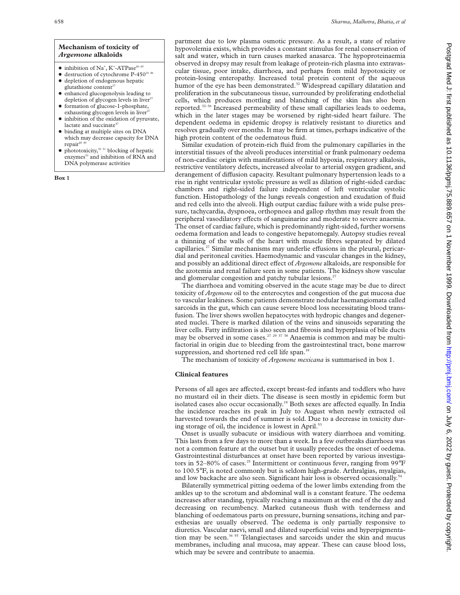### **Mechanism of toxicity of** *Argemone* **alkaloids**

- $\bullet$  inhibition of Na<sup>+</sup>, K<sup>+</sup>-ATPase<sup>40-45</sup>
- $\bullet$  destruction of cytochrome P-450<sup>16 46</sup>  $\bullet$  depletion of endogenous hepatic
- glutathione content<sup>27</sup>
- enhanced glucogenolysis leading to depletion of glycogen levels in liver<sup>2</sup>
- $\bullet$  formation of glucose-1-phosphate, exhausting glycogen levels in liver<sup>2</sup>
- $\bullet$  inhibition of the oxidation of pyruvate, lactate and succinate<sup>47</sup>
- $\bullet$  binding at multiple sites on DNA which may decrease capacity for DNA repair<sup>48</sup>
- $\bullet$  phototoxicity,<sup>50 51</sup> blocking of hepatic enzymes<sup>52</sup> and inhibition of RNA and DNA polymerase activities

**Box 1**

partment due to low plasma osmotic pressure. As a result, a state of relative hypovolemia exists, which provides a constant stimulus for renal conservation of salt and water, which in turn causes marked anasarca. The hypoproteinaemia observed in dropsy may result from leakage of protein-rich plasma into extravascular tissue, poor intake, diarrhoea, and perhaps from mild hypotoxicity or protein-losing enteropathy. Increased total protein content of the aqueous humor of the eye has been demonstrated.<sup>32</sup> Widespread capillary dilatation and proliferation in the subcutaneous tissue, surrounded by proliferating endothelial cells, which produces mottling and blanching of the skin has also been reported.32–36 Increased permeability of these small capillaries leads to oedema, which in the later stages may be worsened by right-sided heart failure. The dependent oedema in epidemic dropsy is relatively resistant to diuretics and resolves gradually over months. It may be firm at times, perhaps indicative of the high protein content of the oedematous fluid.

Similar exudation of protein-rich fluid from the pulmonary capillaries in the interstitial tissues of the alveoli produces interstitial or frank pulmonary oedema of non-cardiac origin with manifestations of mild hypoxia, respiratory alkalosis, restrictive ventilatory defects, increased alveolar to arterial oxygen gradient, and derangement of diffusion capacity. Resultant pulmonary hypertension leads to a rise in right ventricular systolic pressure as well as dilation of right-sided cardiac chambers and right-sided failure independent of left ventricular systolic function. Histopathology of the lungs reveals congestion and exudation of fluid and red cells into the alveoli. High output cardiac failure with a wide pulse pressure, tachycardia, dyspnoea, orthopnoea and gallop rhythm may result from the peripheral vasodilatory effects of sanguinarine and moderate to severe anaemia. The onset of cardiac failure, which is predominantly right-sided, further worsens oedema formation and leads to congestive hepatomegaly. Autopsy studies reveal a thinning of the walls of the heart with muscle fibres separated by dilated capillaries.<sup>27</sup> Similar mechanisms may underlie effusions in the pleural, pericardial and peritoneal cavities. Haemodynamic and vascular changes in the kidney, and possibly an additional direct effect of *Argemone* alkaloids, are responsible for the azotemia and renal failure seen in some patients. The kidneys show vascular and glomerular congestion and patchy tubular lesions.<sup>27</sup>

The diarrhoea and vomiting observed in the acute stage may be due to direct toxicity of *Argemone* oil to the enterocytes and congestion of the gut mucosa due to vascular leakiness. Some patients demonstrate nodular haemangiomata called sarcoids in the gut, which can cause severe blood loss necessitating blood transfusion. The liver shows swollen hepatocytes with hydropic changes and degenerated nuclei. There is marked dilation of the veins and sinusoids separating the liver cells. Fatty infiltration is also seen and fibrosis and hyperplasia of bile ducts may be observed in some cases.<sup>27 29 37 38</sup> Anaemia is common and may be multifactorial in origin due to bleeding from the gastrointestinal tract, bone marrow suppression, and shortened red cell life span.<sup>39</sup>

The mechanism of toxicity of *Argemone mexicana* is summarised in box 1.

#### **Clinical features**

Persons of all ages are affected, except breast-fed infants and toddlers who have no mustard oil in their diets. The disease is seen mostly in epidemic form but isolated cases also occur occasionally.<sup>18</sup> Both sexes are affected equally. In India the incidence reaches its peak in July to August when newly extracted oil harvested towards the end of summer is sold. Due to a decrease in toxicity during storage of oil, the incidence is lowest in April.<sup>53</sup>

Onset is usually subacute or insidious with watery diarrhoea and vomiting. This lasts from a few days to more than a week. In a few outbreaks diarrhoea was not a common feature at the outset but it usually precedes the onset of oedema. Gastrointestinal disturbances at onset have been reported by various investigators in 52–80% of cases.<sup>25</sup> Intermittent or continuous fever, ranging from 99°F to 100.5°F, is noted commonly but is seldom high-grade. Arthralgias, myalgias, and low backache are also seen. Significant hair loss is observed occasionally.<sup>54</sup>

Bilaterally symmetrical pitting oedema of the lower limbs extending from the ankles up to the scrotum and abdominal wall is a constant feature. The oedema increases after standing, typically reaching a maximum at the end of the day and decreasing on recumbency. Marked cutaneous flush with tenderness and blanching of oedematous parts on pressure, burning sensations, itching and paresthesias are usually observed. The oedema is only partially responsive to diuretics. Vascular naevi, small and dilated superficial veins and hyperpigmentation may be seen.<sup>36 55</sup> Telangiectases and sarcoids under the skin and mucus membranes, including anal mucosa, may appear. These can cause blood loss, which may be severe and contribute to anaemia.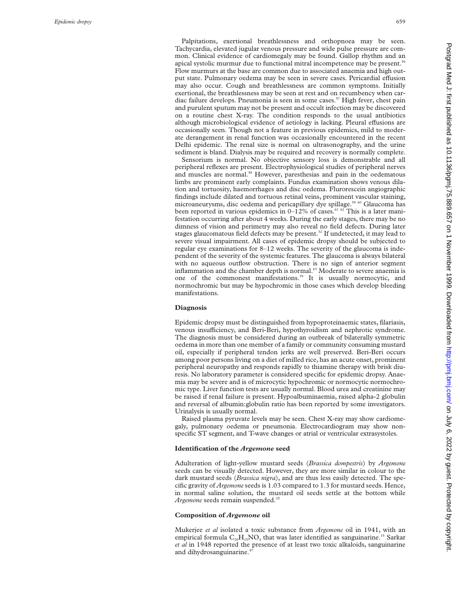Palpitations, exertional breathlessness and orthopnoea may be seen. Tachycardia, elevated jugular venous pressure and wide pulse pressure are common. Clinical evidence of cardiomegaly may be found. Gallop rhythm and an apical systolic murmur due to functional mitral incompetence may be present.<sup>56</sup> Flow murmurs at the base are common due to associated anaemia and high output state. Pulmonary oedema may be seen in severe cases. Pericardial effusion may also occur. Cough and breathlessness are common symptoms. Initially exertional, the breathlessness may be seen at rest and on recumbency when cardiac failure develops. Pneumonia is seen in some cases.<sup>57</sup> High fever, chest pain and purulent sputum may not be present and occult infection may be discovered on a routine chest X-ray. The condition responds to the usual antibiotics although microbiological evidence of aetiology is lacking. Pleural effusions are occasionally seen. Though not a feature in previous epidemics, mild to moderate derangement in renal function was occasionally encountered in the recent Delhi epidemic. The renal size is normal on ultrasonography, and the urine sediment is bland. Dialysis may be required and recovery is normally complete.

Sensorium is normal. No objective sensory loss is demonstrable and all peripheral reflexes are present. Electrophysiological studies of peripheral nerves and muscles are normal.<sup>58</sup> However, paresthesias and pain in the oedematous limbs are prominent early complaints. Fundus examination shows venous dilation and tortuosity, haemorrhages and disc oedema. Flurorescein angiographic findings include dilated and tortuous retinal veins, prominent vascular staining, microaneurysms, disc oedema and pericapillary dye spillage.<sup>59 60</sup> Glaucoma has been reported in various epidemics in 0–12% of cases.<sup>61 62</sup> This is a later manifestation occurring after about 4 weeks. During the early stages, there may be no dimness of vision and perimetry may also reveal no field defects. During later stages glaucomatous field defects may be present.<sup>32</sup> If undetected, it may lead to severe visual impairment. All cases of epidemic dropsy should be subjected to regular eye examinations for 8–12 weeks. The severity of the glaucoma is independent of the severity of the systemic features. The glaucoma is always bilateral with no aqueous outflow obstruction. There is no sign of anterior segment inflammation and the chamber depth is normal.<sup>63</sup> Moderate to severe anaemia is one of the commonest manifestations.<sup>39</sup> It is usually normocytic, and normochromic but may be hypochromic in those cases which develop bleeding manifestations.

#### **Diagnosis**

Epidemic dropsy must be distinguished from hypoproteinaemic states, filariasis, venous insufficiency, and Beri-Beri, hypothyroidism and nephrotic syndrome. The diagnosis must be considered during an outbreak of bilaterally symmetric oedema in more than one member of a family or community consuming mustard oil, especially if peripheral tendon jerks are well preserved. Beri-Beri occurs among poor persons living on a diet of milled rice, has an acute onset, prominent peripheral neuropathy and responds rapidly to thiamine therapy with brisk diuresis. No laboratory parameter is considered specific for epidemic dropsy. Anaemia may be severe and is of microcytic hypochromic or normocytic normochromic type. Liver function tests are usually normal. Blood urea and creatinine may be raised if renal failure is present. Hypoalbuminaemia, raised alpha-2 globulin and reversal of albumin:globulin ratio has been reported by some investigators. Urinalysis is usually normal.

Raised plasma pyruvate levels may be seen. Chest X-ray may show cardiomegaly, pulmonary oedema or pneumonia. Electrocardiogram may show nonspecific ST segment, and T-wave changes or atrial or ventricular extrasystoles.

#### **Identification of the** *Argemone* **seed**

Adulteration of light-yellow mustard seeds (*Brassica dompestris*) by *Argemone* seeds can be visually detected. However, they are more similar in colour to the dark mustard seeds (*Brassica nigra*), and are thus less easily detected. The specific gravity of *Argemone* seeds is 1.03 compared to 1.3 for mustard seeds. Hence, in normal saline solution, the mustard oil seeds settle at the bottom while Argemone seeds remain suspended.<sup>25</sup>

#### **Composition of** *Argemone* **oil**

Mukerjee *et al* isolated a toxic substance from *Argemone* oil in 1941, with an empirical formula  $\rm C_{20}H_{15}NO_4$  that was later identified as sanguinarine.<sup>15</sup> Sarkar *et al* in 1948 reported the presence of at least two toxic alkaloids, sanguinarine and dihydrosanguinarine.<sup>4</sup>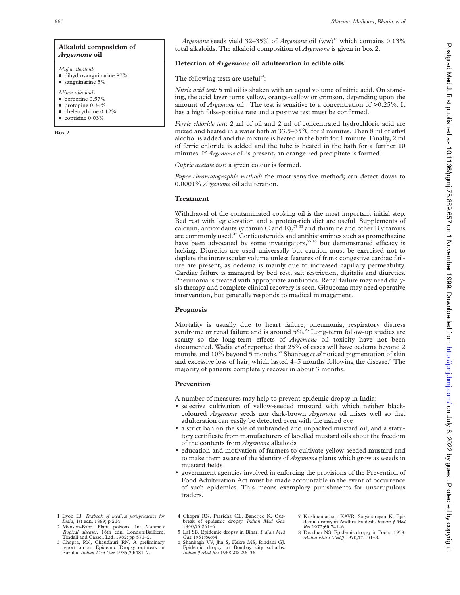*Major alkaloids*

- $\bullet$  dihydrosanguinarine 87%
- $\bullet$  sanguinarine 5%
- *Minor alkaloids*
- $\bullet$  berberine 0.57%
- $\bullet$  protopine 0.34%
- $\bullet$  cheletrythrine 0.12%
- $\bullet$  coptisine 0.03%

**Box 2**

*Argemone* seeds yield 32-35% of *Argemone* oil  $(v/w)^{16}$  which contains 0.13% total alkaloids. The alkaloid composition of *Argemone* is given in box 2.

# **Detection of** *Argemone* **oil adulteration in edible oils**

The following tests are useful<sup>64</sup>:

*Nitric acid test:* 5 ml oil is shaken with an equal volume of nitric acid. On standing, the acid layer turns yellow, orange-yellow or crimson, depending upon the amount of *Argemone* oil . The test is sensitive to a concentration of >0.25%. It has a high false-positive rate and a positive test must be confirmed.

*Ferric chloride test*: 2 ml of oil and 2 ml of concentrated hydrochloric acid are mixed and heated in a water bath at 33.5–35°C for 2 minutes. Then 8 ml of ethyl alcohol is added and the mixture is heated in the bath for 1 minute. Finally, 2 ml of ferric chloride is added and the tube is heated in the bath for a further 10 minutes. If *Argemone* oil is present, an orange-red precipitate is formed.

*Cupric acetate test:* a green colour is formed.

*Paper chromatographic method:* the most sensitive method; can detect down to 0.0001% *Argemone* oil adulteration.

# **Treatment**

Withdrawal of the contaminated cooking oil is the most important initial step. Bed rest with leg elevation and a protein-rich diet are useful. Supplements of calcium, antioxidants (vitamin C and E), $^{37}$  55 and thiamine and other B vitamins are commonly used.<sup>47</sup> Corticosteroids and antihistaminics such as promethazine have been advocated by some investigators,<sup>25 65</sup> but demonstrated efficacy is lacking. Diuretics are used universally but caution must be exercised not to deplete the intravascular volume unless features of frank congestive cardiac failure are present, as oedema is mainly due to increased capillary permeability. Cardiac failure is managed by bed rest, salt restriction, digitalis and diuretics. Pneumonia is treated with appropriate antibiotics. Renal failure may need dialysis therapy and complete clinical recovery is seen. Glaucoma may need operative intervention, but generally responds to medical management.

#### **Prognosis**

Mortality is usually due to heart failure, pneumonia, respiratory distress syndrome or renal failure and is around  $5\%$ .<sup>25</sup> Long-term follow-up studies are scanty so the long-term effects of *Argemone* oil toxicity have not been documented. Wadia *et al* reported that 25% of cases will have oedema beyond 2 months and 10% beyond 5 months.<sup>54</sup> Shanbag et al noticed pigmentation of skin and excessive loss of hair, which lasted  $4-5$  months following the disease.<sup>6</sup> The majority of patients completely recover in about 3 months.

#### **Prevention**

A number of measures may help to prevent epidemic dropsy in India:

- selective cultivation of yellow-seeded mustard with which neither blackcoloured *Argemone* seeds nor dark-brown *Argemone* oil mixes well so that adulteration can easily be detected even with the naked eye
- a strict ban on the sale of unbranded and unpacked mustard oil, and a statutory certificate from manufacturers of labelled mustard oils about the freedom of the contents from *Argemone* alkaloids
- education and motivation of farmers to cultivate yellow-seeded mustard and to make them aware of the identity of *Argemone* plants which grow as weeds in mustard fields
- government agencies involved in enforcing the provisions of the Prevention of Food Adulteration Act must be made accountable in the event of occurrence of such epidemics. This means exemplary punishments for unscrupulous traders.
- 1 Lyon IB. *Textbook of medical jurisprudence for India,* 1st edn. 1889; p 214.
- 2 Manson-Bahr. Plant poisons. In: *Manson's Tropical diseases,* 16th edn. London:Bailliere, Tindall and Cassell Ltd, 1982; pp 571–2.
- 3 Chopra, RN, Chaudhuri RN. A preliminary report on an Epidemic Dropsy outbreak in Purulia. *Indian Med Gaz* 1935;**70**:481–7.
- 4 Chopra RN, Pasricha CL, Banerjee K. Outbreak of epidemic dropsy. *Indian Med Gaz* 1940;**75**:261–6.
- 5 Lal SB. Epidemic dropsy in Bihar. *Indian Med Gaz* 1951;**86**:64.
- 6 Shanbagh VV, Jha S, Kekre MS, Rindani GJ. Epidemic dropsy in Bombay city suburbs. *Indian J Med Res* 1968;**22**:226–36.
- 7 Krishnamachari KAVR, Satyanarayan K. Epidemic dropsy in Andhra Pradesh. *Indian J Med Res* 1972;**60**:741–6.
- 8 Deodhar NS. Epidemic dropsy in Poona 1959. *Maharashtra Med J* 1970;**17**:131–8.